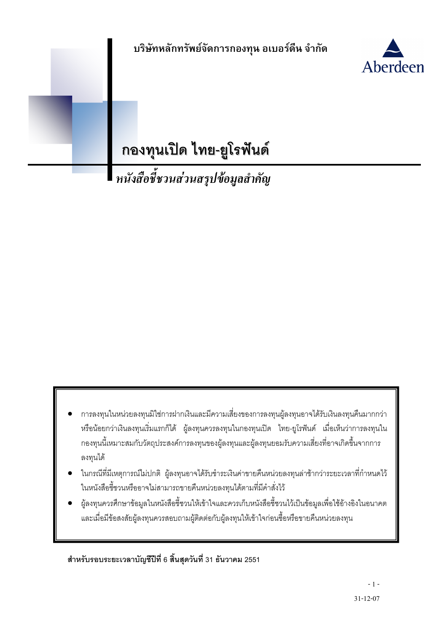

กองทุนเปิด ไทย-ยูโรฟันด์<br>หนังสือชี้ชวนส่วนสรุปข้อมูลสำคัญ

- ้การลงทุนในหน่วยลงทุนมิใช่การฝากเงินและมีความเสี่ยงของการลงทุนผู้ลงทุนอาจได้รับเงินลงทุนคืนมากกว่า ้ หรือน้อยกว่าเงินลงทุนเริ่มแรกก็ได้ ผู้ลงทุนควรลงทุนในกองทุนเปิด ไทย-ยูโรฟันด์ เมื่อเห็นว่าการลงทุนใน ้ กองทุนนี้เหมาะสมกับวัตถุประสงค์การลงทุนของผู้ลงทุนและผู้ลงทุนยอมรับความเสี่ยงที่อาจเกิดขึ้นจากการ ลงทุนได้
- ในกรณีที่มีเหตุการณ์ไม่ปกติ ผู้ลงทุนอาจได้รับชำระเงินค่าขายคืนหน่วยลงทุนล่าช้ากว่าระยะเวลาที่กำหนดไว้ ในหนังสือชี้ชวนหรืออาจไม่สามารถขายคืนหน่วยลงทุนได้ตามที่มีคำสั่งไว้
- ผู้ลงทุนควรศึกษาข้อมูลในหนังสือชี้ชวนให้เข้าใจและควรเก็บหนังสือชี้ชวนไว้เป็นข้อมูลเพื่อใช้อ้างอิงในอนาคต และเมื่อมีข้อสงสัยผู้ลงทุนควรสอบถามผู้ติดต่อกับผู้ลงทุนให้เข้าใจก่อนซื้อหรือขายคืนหน่วยลงทุน

สำหรับรอบระยะเวลาบัญชีปีที่ 6 สิ้นสุดวันที่ 31 ธันวาคม 2551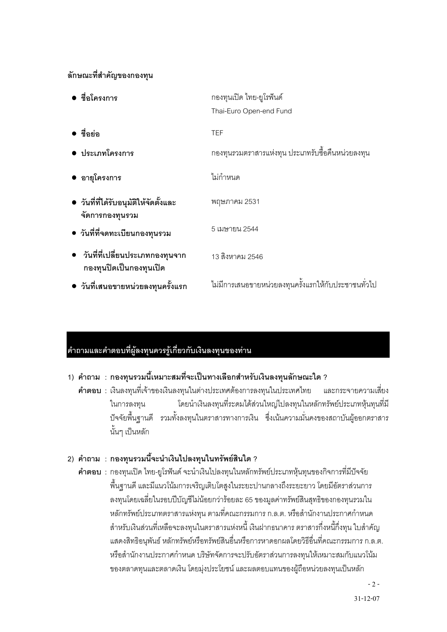#### ลักษณะที่สำคัญของกองทุน

| • ชื่อโครงการ                                                | กองทุนเปิด ไทย-ยูโรฟันด์                             |
|--------------------------------------------------------------|------------------------------------------------------|
|                                                              | Thai-Euro Open-end Fund                              |
| ∍ ชื่อย่อ                                                    | <b>TEF</b>                                           |
| • ประเภทโครงการ                                              | ึกองทุนรวมตราสารแห่งทุน ประเภทรับซื้อคืนหน่วยลงทุน   |
| ● อายุโครงการ                                                | ไม่กำหนด                                             |
| • วันที่ที่ได้รับอนุมัติให้จัดตั้งและ<br>จัดการกองทุนรวม     | พฤษภาคม 2531                                         |
| • วันที่ที่จดทะเบียนกองทุนรวม                                | 5 เมษายน 2544                                        |
| • วันที่ที่เปลี่ยนประเภทกองทุนจาก<br>กองทุนปิดเป็นกองทุนเปิด | 13 สิงหาคม 2546                                      |
| ● วันที่เสนอขายหน่วยลงทุนครั้งแรก                            | ไม่มีการเสนอขายหน่วยลงทุนครั้งแรกให้กับประชาชนทั่วไป |

## ้คำถามและคำตอบที่ผู้ลงทุนควรรู้เกี่ยวกับเงินลงทุนของท่าน

#### 1) คำถาม : กองทุนรวมนี้เหมาะสมที่จะเป็นทางเลือกสำหรับเงินลงทุนลักษณะใด ?

์ **คำตอบ** : เงินลงทุนที่เจ้าของเงินลงทุนในต่างประเทศต้องการลงทุนในประเทศไทย และกระจายความเสี่ยง ในการลงทุน โดยนำเงินลงทุนที่ระดมได้ส่วนใหญ่ไปลงทุนในหลักทรัพย์ประเภทหุ้นทุนที่มี ้ ปัจจัยพื้นฐานดี รวมทั้งลงทุนในตราสารทางการเงิน ซึ่งเน้นความมั่นคงของสถาบันผู้ออกตราสาร ้นั้นๆ เป็นหลัก

#### 2) คำถาม : กองทุนรวมนี้จะนำเงินไปลงทุนในทรัพย์สินใด ?

**้คำตอบ** : กองทุนเปิด ไทย-ยูโรฟันด์ จะนำเงินไปลงทุนในหลักทรัพย์ประเภทหุ้นทุนของกิจการที่มีปัจจัย ้ พื้นฐานดี และมีแนวโน้มการเจริญเติบโตสูงในระยะปานกลางถึงระยะยาว โดยมีอัตราส่วนการ ลงทุนโดยเฉลี่ยในรอบปีบัญชีไม่น้อยกว่าร้อยละ 65 ของมูลค่าทรัพย์สินสุทธิของกองทุนรวมใน หลักทรัพย์ประเภทตราสารแห่งทุน ตามที่คณะกรรมการ ก.ล.ต. หรือสำนักงานประกาศกำหนด ้สำหรับเงินส่วนที่เหลือจะลงทุนในตราสารแห่งหนี้ เงินฝากธนาคาร ตราสารกึ่งหนี้กึ่งทุน ใบสำคัญ แสดงสิทธิอนุพันธ์ หลักทรัพย์หรือทรัพย์สินอื่นหรือการหาดอกผลโดยวิธีอื่นที่คณะกรรมการ ก.ล.ต. หรือสำนักงานประกาศกำหนด บริษัทจัดการจะปรับอัตราส่วนการลงทุนให้เหมาะสมกับแนวโน้ม ของตลาดทุนและตลาดเงิน โดยมุ่งประโยชน์ และผลตอบแทนของผู้ถือหน่วยลงทุนเป็นหลัก

 $-2 -$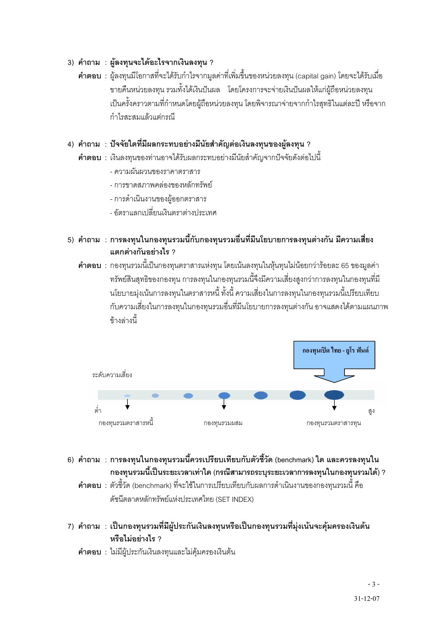#### 3) คำถาม : ผู้ลงทุนจะได้อะไรจากเงินลงทุน ?

**้คำตอบ** : ผู้ลงทุนมีโอกาสที่จะได้รับกำไรจากมูลค่าที่เพิ่มขึ้นของหน่วยลงทุน (capital gain) โดยจะได้รับเมื่อ ขายคืนหน่วยลงทุน รวมทั้งได้เงินปันผล โดยโครงการจะจ่ายเงินปันผลให้แก่ผู้ถือหน่วยลงทุน เป็นครั้งคราวตามที่กำหนดโดยผู้ถือหน่วยลงทุน โดยพิจารณาจ่ายจากกำไรสุทธิในแต่ละปี หรือจาก กำไรสะสมแล้วแต่กรณี

#### 4) คำถาม : ปัจจัยใดที่มีผลกระทบอย่างมีนัยสำคัญต่อเงินลงทุนของผู้ลงทุน ?

- **คำตอบ** : เงินลงทุนของท่านอาจได้รับผลกระทบอย่างมีนัยสำคัญจากปัจจัยดังต่อไปนี้
	- ความผับผวนของราคาตราสาร
	- การขาดสภาพคล่องของหลักทรัพย์
	- การดำเนินงานของผู้ออกตราสาร
	- อัตราแลกเปลี่ยนเงินตราต่างประเทศ
- 5) คำถาม : การลงทุนในกองทุนรวมนี้กับกองทุนรวมอื่นที่มีนโยบายการลงทุนต่างกัน มีความเสี่ยง แตกต่างกันอย่างไร ?

**้คำตอบ** : กองทุนรวมนี้เป็นกองทุนตราสารแห่งทุน โดยเน้นลงทุนในหุ้นทุนไม่น้อยกว่าร้อยละ 65 ของมูลค่า ิทรัพย์สินสุทธิของกองทุน การลงทุนในกองทุนรวมนี้จึงมีความเสี่ยงสูงกว่าการลงทุนในกองทุนที่มี นโยบายมุ่งเน้นการลงทุนในตราสารหนี้ ทั้งนี้ ความเสี่ยงในการลงทุนในกองทุนรวมนี้เปรียบเทียบ กับความเสี่ยงในการลงทุนในกองทุนรวมอื่นที่มีนโยบายการลงทุนต่างกัน อาจแสดงได้ตามแผนภาพ ข้างล่างนี้



- ่ 6) คำถาม : การลงทุนในกองทุนรวมนี้ควรเปรียบเทียบกับตัวชี้วัด (benchmark) ใด และควรลงทุนใน ึกองทุนรวมนี้เป็นระยะเวลาเท่าใด (กรณีสามารถระบุระยะเวลาการลงทุนในกองทุนรวมได้) ?
	- **คำตอบ** : ตัวชี้วัด (benchmark) ที่จะใช้ในการเปรียบเทียบกับผลการดำเนินงานของกองทุนรวมนี้ คือ ดัชนีตลาดหลักทรัพย์แห่งประเทศไทย (SET INDEX)
- 7) คำถาม : เป็นกองทุนรวมที่มีผู้ประกันเงินลงทุนหรือเป็นกองทุนรวมที่มุ่งเน้นจะคุ้มครองเงินต้น หรือไม่อย่างไร ?
	- **คำตอบ** : ไม่มีผู้ประกันเงินลงทุนและไม่คุ้มครองเงินต้น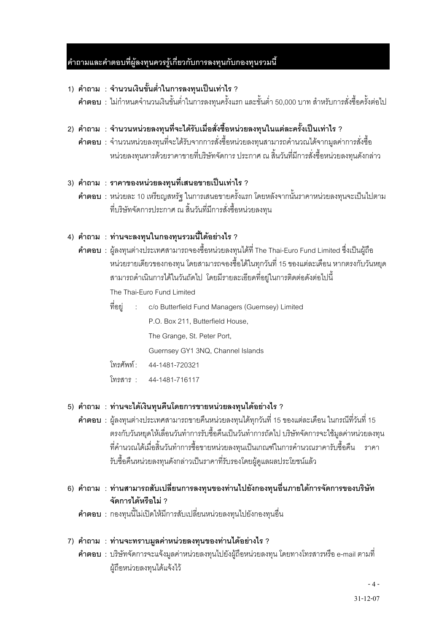#### ่ คำถามและคำตอบที่ผู้ลงทุนควรรู้เกี่ยวกับการลงทุนกับกองทุนรวมนี้

- 1) คำถาม : จำนวนเงินขั้นต่ำในการลงทุนเป็นเท่าไร ?
	- **คำตอบ** : ไม่กำหนดจำนวนเงินขั้นต่ำในการลงทุนครั้งแรก และขั้นต่ำ 50,000 บาท สำหรับการสั่งซื้อครั้งต่อไป

#### ่ 2) คำถาม : จำนวนหน่วยลงทุนที่จะได้รับเมื่อสั่งซื้อหน่วยลงทุนในแต่ละครั้งเป็นเท่าไร ?

**์ คำตอบ** : จำนวนหน่วยลงทุนที่จะได้รับจากการสั่งซื้อหน่วยลงทุนสามารถคำนวณได้จากมูลค่าการสั่งซื้อ หน่วยลงทุนหารด้วยราคาขายที่บริษัทจัดการ ประกาศ ณ สิ้นวันที่มีการสั่งซื้อหน่วยลงทุนดังกล่าว

#### 3) คำถาม : ราคาของหน่วยลงทุนที่เสนอขายเป็นเท่าไร ?

**คำตอบ** : หน่วยละ 10 เหรียญสหรัฐ ในการเสนอขายครั้งแรก โดยหลังจากนั้นราคาหน่วยลงทุนจะเป็นไปตาม ู ที่บริษัทจัดการประกาศ ณ สิ้นวันที่มีการสั่งซื้อหน่วยลงทน

#### 4) คำถาม : ท่านจะลงทุนในกองทุนรวมนี้ได้อย่างไร ?

- **คำตอบ** : ผู้ลงทุนต่างประเทศสามารถจองซื้อหน่วยลงทุนได้ที่ The Thai-Euro Fund Limited ซึ่งเป็นผู้ถือ หน่วยรายเดี่ยวของกองทุน โดยสามารถจองซื้อได้ในทุกวันที่ 15 ของแต่ละเดือน หากตรงกับวันหยุด สามารถดำเนินการได้ในวันถัดไป โดยมีรายละเอียดที่อยู่ในการติดต่อดังต่อไปนี้ The Thai-Euro Fund Limited
	- ที่อยู่ : c/o Butterfield Fund Managers (Guernsey) Limited P.O. Box 211, Butterfield House, The Grange, St. Peter Port, Guernsey GY1 3NQ, Channel Islands
	- โทรศัพท์ : 44-1481-720321
	- โทรสาร: 44-1481-716117

#### 5) คำถาม : ท่านจะได้เงินทุนคืนโดยการขายหน่วยลงทุนได้อย่างไร ?

- **คำตอบ** : ผู้ลงทุนต่างประเทศสามารถขายคืนหน่วยลงทุนได้ทุกวันที่ 15 ของแต่ละเดือน ในกรณีที่วันที่ 15 ้ตรงกับวันหยุดให้เลื่อนวันทำการรับซื้อคืนเป็นวันทำการถัดไป บริษัทจัดการจะใช้มูลค่าหน่วยลงทุน ู้ที่คำนวณได้เมื่อสิ้นวันทำการซื้อขายหน่วยลงทุนเป็นเกณฑ์ในการคำนวณราคารับซื้อคืน ราคา รับซื้อคืนหน่วยลงทุนดังกล่าวเป็นราคาที่รับรองโดยผู้ดูแลผลประโยชน์แล้ว
- 6) คำถาม : ท่านสามารถสับเปลี่ยนการลงทุนของท่านไปยังกองทุนอื่นภายใต้การจัดการของบริษัท จัดการได้หรือไม่ ?
	- **คำตอบ** : กองทุนนี้ไม่เปิดให้มีการสับเปลี่ยนหน่วยลงทุนไปยังกองทุนอื่น

#### 7) คำถาม : ท่านจะทราบมูลค่าหน่วยลงทุนของท่านได้อย่างไร ?

**คำตอบ** : บริษัทจัดการจะแจ้งมูลค่าหน่วยลงทุนไปยังผู้ถือหน่วยลงทุน โดยทางโทรสารหรือ e-mail ตามที่ ผู้ถือหน่วยลงทุนได้แจ้งไว้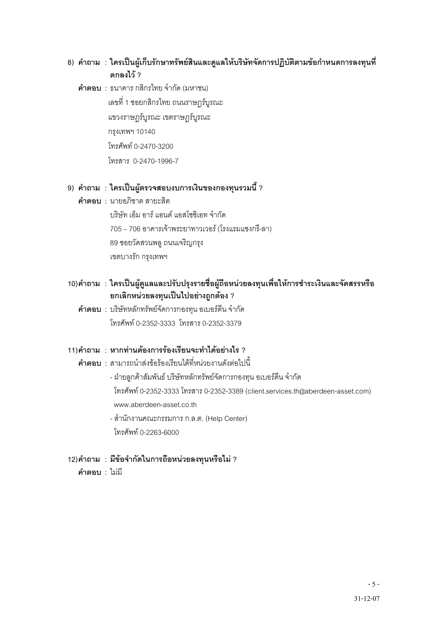#### 8) คำถาม : ใครเป็นผู้เก็บรักษาทรัพย์สินและดูแลให้บริษัทจัดการปฏิบัติตามข้อกำหนดการลงทุนที่ ตกลงไว้ ?

**คำตอบ** : ธนาคาร กสิกรไทย จำกัด (มหาชน) เลขที่ 1 ซอยกสิกรไทย ถนนราษฎร์บูรณะ แขวงราษฎร์บูรณะ เขตราษฎร์บูรณะ กรุงเทพฯ 10140 โทรศัพท์ 0-2470-3200 ) 0-2470-1996-7

#### 9) คำถาม : ใครเป็นผู้ตรวจสอบงบการเงินของกองทุนรวมนี้ ?

- $\hat{\mathsf{n}}$ าตุลง $\mathsf{1}$  : นายคภิชาตุ สายะสิต บริษัท เอ็ม อาร์ แอนด์ แอสโซซิเอท จำกัด 705 – 706 อาคารเจ้าพระยาทาวเวอร์ (โรงแรมแชงกรี-ลา) 89 ซอยวัดสวนพลู ถนนเจริญกรุง เขตบางรัก กรุงเทพฯ
- 10)คำถาม : ใครเป็นผู้ดูแลและปรับปรุงรายชื่อผู้ถือหน่วยลงทุนเพื่อให้การชำระเงินและจัดสรรหรือ ยกเลิกหน่วยลงทุนเป็นไปอย่างถูกต้อง ?
- **คำตอบ** : บริษัทหลักทรัพย์จัดการกองทุน อเบอร์ดีน จำกัด โทรศัพท์ 0-2352-3333 โทรสาร 0-2352-3379

#### 11)คำถาม : หากท่านต้องการร้องเรียนจะทำได้อย่างไร ?

- $\,$ คำตอบ : สามารถนำส่งข้อร้องเรียนได้ที่หน่วยงานดังต่อไปนี้ - ฝ่ายลูกค้าสัมพันธ์ บริษัทหลักทรัพย์จัดการกองทุน อเบอร์ดีน จำกัด โทรศัพท์ 0-2352-3333 โทรสาร 0-2352-3389 (client.services.th@aberdeen-asset.com) www.aberdeen-asset.co.th
- สำนักงานคณะกรรมการ ก.ล.ต. (Help Center) โทรศัพท์ 0-2263-6000

# 12)คำถาม : มีข้อจำกัดในการถือหน่วยลงทุนหรือไม่ ?

คำตกบ $:$  ไม่มี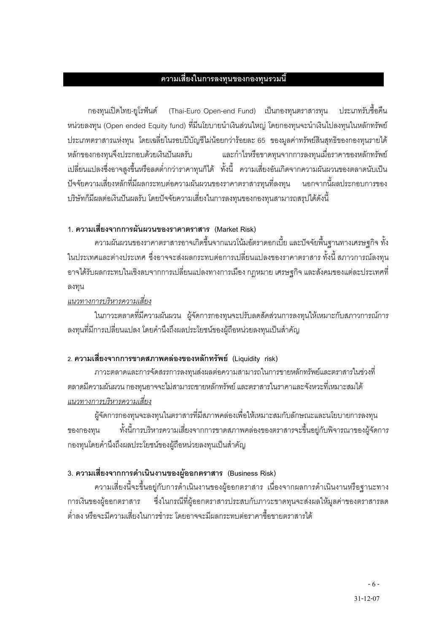#### ความเสี่ยงในการลงทุนของกองทุนรวมนี้

กองทุนเปิดไทย-ยูโรฟันด์ (Thai-Euro Open-end Fund) เป็นกองทุนตราสารทุน ประเภทรับขี้อคืน หน่วยลงทุน (Open ended Equity fund) ที่มีนโยบายนำเงินส่วนใหญ่ โดยกองทุนจะนำเงินไปลงทุนในหลักทรัพย์ ี ประเภทตราสารแห่งทุน โดยเฉลี่ยในรอบปีบัญชีไม่น้อยกว่าร้อยละ 65 ของมูลค่าทรัพย์สินสุทธิของกองทุนรายได้ และกำไรหรือขาดทุนจากการลงทุนเมื่อราคาของหลักทรัพย์ หลักของกองทนจึงประกอบด้วยเงินปันผลรับ เปลี่ยนแปลงซึ่งอาจสูงขึ้นหรือลดต่ำกว่าราคาทุนก็ได้ ทั้งนี้ ความเสี่ยงอันเกิดจากความผันผวนของตลาดนับเป็น ้ ปัจจัยความเสี่ยงหลักที่มีผลกระทบต่อความผันผวนของราคาตราสารทุนที่ลงทุน นอกจากนี้ผลประกอบการของ ้ บริษัทก็มีผลต่อเงินปันผลรับ โดยปัจจัยความเสี่ยงในการลงทุนของกองทุนสามารถสรุปได้ดังนี้

#### 1. ความเสี่ยงจากการผันผวนของราคาตราสาร (Market Risk)

้ ความผันผวนของราคาตราสารอาจเกิดขึ้นจากแนวโน้มอัตราดอกเบี้ย และปัจจัยพื้นฐานทางเศรษฐกิจ ทั้ง ในประเทศและต่างประเทศ ซึ่งอาจจะส่งผลกระทบต่อการเปลี่ยนแปลงของราคาตราสาร ทั้งนี้ สภาวการณ์ลงทุน ่ อาจได้รับผลกระทบในเชิงลบจากการเปลี่ยนแปลงทางการเมือง กฎหมาย เศรษฐกิจ และสังคมของแต่ละประเทศที่ ลงทน

#### แนวทางการบริหารความเสี่ยง

ในภาวะตลาดที่มีความผันผวน ผู้จัดการกองทุนจะปรับลดสัดส่วนการลงทุนให้เหมาะกับสภาวการณ์การ ลงทุนที่มีการเปลี่ยนแปลง โดยคำนึงถึงผลประโยชน์ของผู้ถือหน่วยลงทุนเป็นสำคัญ

#### 2. ความเสี่ยงจากการขาดสภาพคล่องของหลักทรัพย์ (Liquidity risk)

่ ภาวะตลาดและการจัดสรรการลงทุนส่งผลต่อความสามารถในการขายหลักทรัพย์และตราสารในช่วงที่ ้ตลาดมีความผันผวน กองทุนอาจจะไม่สามารถขายหลักทรัพย์ และตราสารในราคาและจังหวะที่เหมาะสมได้ แนวทางการบริหารความเสี่ยง

ผู้จัดการกองทุนจะลงทุนในตราสารที่มีสภาพคล่องเพื่อให้เหมาะสมกับลักษณะและนโยบายการลงทุน ทั้งนี้การบริหารความเสี่ยงจากการขาดสภาพคล่องของตราสารจะขึ้นอยู่กับพิจารณาของผู้จัดการ ของกองทน กองทุนโดยคำนึงถึงผลประโยชน์ของผู้ถือหน่วยลงทุนเป็นสำคัญ

#### 3. ความเสี่ยงจากการดำเนินงานของผู้ออกตราสาร (Business Risk)

ความเสี่ยงนี้จะขึ้นอยู่กับการดำเนินงานของผู้ออกตราสาร เนื่องจากผลการดำเนินงานหรือฐานะทาง ซึ่งในกรณีที่ผู้ออกตราสารประสบกับภาวะขาดทุนจะส่งผลให้มูลค่าของตราสารลด การเงินของผู้ออกตราสาร ้ต่ำลง หรือจะมีความเสี่ยงในการชำระ โดยคาจจะมีผลกระทบต่อราคาซื้อขายตราสารได้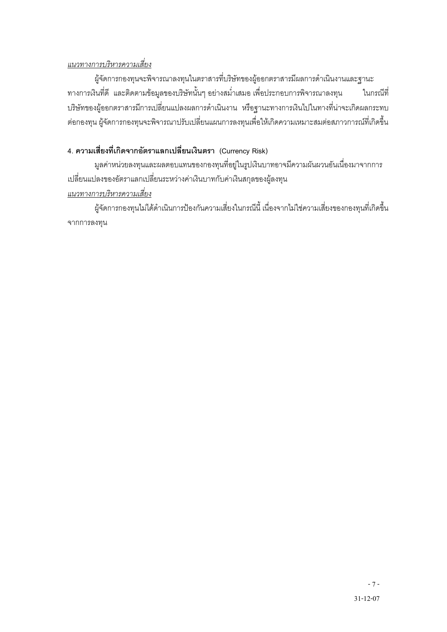#### แนวทางการบริหารความเสี่ยง

ผู้จัดการกองทุนจะพิจารณาลงทุนในตราสารที่บริษัทของผู้ออกตราสารมีผลการดำเนินงานและฐานะ ทางการเงินที่ดี และติดตามข้อมูลของบริษัทนั้นๆ อย่างสม่ำเสมอ เพื่อประกอบการพิจารณาลงทุน ในกรณีที่ ้บริษัทของผู้ออกตราสารมีการเปลี่ยนแปลงผลการดำเนินงาน หรือฐานะทางการเงินไปในทางที่น่าจะเกิดผลกระทบ ้ต่อกองทุน ผู้จัดการกองทุนจะพิจารณาปรับเปลี่ยนแผนการลงทุนเพื่อให้เกิดความเหมาะสมต่อสภาวการณ์ที่เกิดขึ้น

### 4. ความเสี่ยงที่เกิดจากอัตราแลกเปลี่ยนเงินตรา (Currency Risk)

มูลค่าหน่วยลงทุนและผลตอบแทนของกองทุนที่อยู่ในรูปเงินบาทอาจมีความผันผวนอันเนื่องมาจากการ เปลี่ยนแปลงของอัตราแลกเปลี่ยนระหว่างค่าเงินบาทกับค่าเงินสกุลของผู้ลงทุน แนวทางการบริหารความเสี่ยง

ผู้จัดการกองทุนไม่ได้ดำเนินการป้องกันความเสี่ยงในกรณีนี้ เนื่องจากไม่ใช่ความเสี่ยงของกองทุนที่เกิดขึ้น จากการลงทุน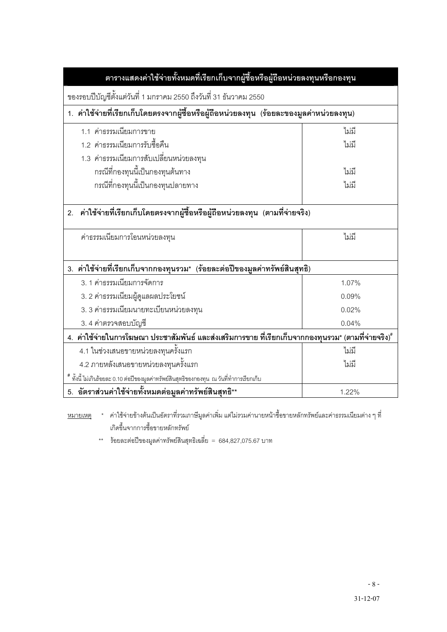| ตารางแสดงค่าใช้จ่ายทั้งหมดที่เรียกเก็บจากผู้ซื้อหรือผู้ถือหน่วยลงทุนหรือกองทุน                      |       |  |  |
|-----------------------------------------------------------------------------------------------------|-------|--|--|
| ของรอบปีบัญชีตั้งแต่วันที่ 1 มกราคม 2550 ถึงวันที่ 31 ธันวาคม 2550                                  |       |  |  |
| 1. ค่าใช้จ่ายที่เรียกเก็บโดยตรงจากผู้ซื้อหรือผู้ถือหน่วยลงทุน (ร้อยละของมูลค่าหน่วยลงทุน)           |       |  |  |
| 1.1 ค่าธรรมเนียมการขาย<br>ไม่มี                                                                     |       |  |  |
| 1.2 ค่าธรรมเนียมการรับซื้อคืน                                                                       | ไม่มี |  |  |
| 1.3 ค่าธรรมเนียมการสับเปลี่ยนหน่วยลงทุน                                                             |       |  |  |
| กรณีที่กองทุนนี้เป็นกองทุนต้นทาง                                                                    | ไม่มี |  |  |
| กรณีที่กองทุนนี้เป็นกองทุนปลายทาง                                                                   | ไม่มี |  |  |
| ค่าใช้จ่ายที่เรียกเก็บโดยตรงจากผู้ซื้อหรือผู้ถือหน่วยลงทุน (ตามที่จ่ายจริง)<br>2.                   |       |  |  |
| ค่าธรรมเนียมการโอนหน่วยลงทุน                                                                        | ไม่มี |  |  |
| 3. ค่าใช้จ่ายที่เรียกเก็บจากกองทุนรวม* (ร้อยละต่อปีของมูลค่าทรัพย์สินสุทธิ)                         |       |  |  |
| 3. 1 ค่าธรรมเนียมการจัดการ                                                                          | 1.07% |  |  |
| 3. 2 ค่าธรรมเนียมผู้ดูแลผลประโยชน์                                                                  | 0.09% |  |  |
| 3. 3 ค่าธรรมเนียมนายทะเบียนหน่วยลงทุน                                                               | 0.02% |  |  |
| 3.4 ค่าตรวจสอบบัญชี                                                                                 | 0.04% |  |  |
| 4. ค่าใช้จ่ายในการโฆษณา ประชาสัมพันธ์ และส่งเสริมการขาย ที่เรียกเก็บจากกองทุนรวม* (ตามที่จ่ายจริง)# |       |  |  |
| 4.1 ในช่วงเสนอขายหน่วยลงทุนครั้งแรก                                                                 | ไม่มี |  |  |
| 4.2 ภายหลังเสนอขายหน่วยลงทุนครั้งแรก                                                                | ไม่มี |  |  |
| * ทั้งนี้ ไม่เกินร้อยละ 0.10 ต่อปีของมูลค่าทรัพย์สินสุทธิของกองทุน  ณ วันที่ทำการเรียกเก็บ          |       |  |  |
| 5. อัตราส่วนค่าใช้จ่ายทั้งหมดต่อมูลค่าทรัพย์สินสุทธิ**                                              | 1.22% |  |  |

<u>หมายเหตุ</u> \* ค่าใช้จ่ายข้างต้นเป็นอัตราที่รวมภาษีมูลค่าเพิ่ม แต่ไม่รวมค่านายหน้าซื้อขายหลักทรัพย์และค่าธรรมเนียมต่าง ๆ ที่ เกิดขึ้นจากการซื้อขายหลักทรัพย์

\*\* ร้อยละต่อปีของมูลค่าทรัพย์สินสุทธิเฉลี่ย = 684,827,075.67 บาท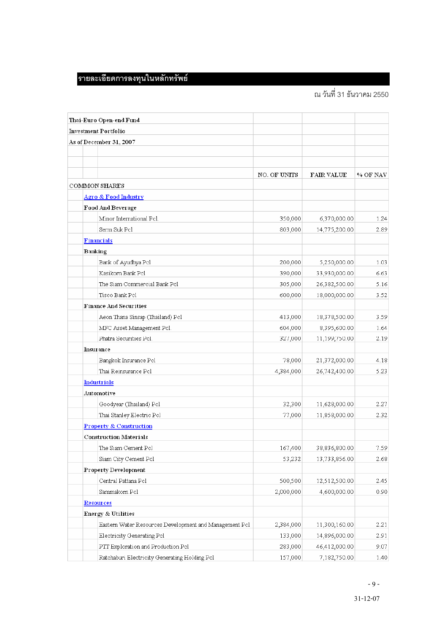# รายละเอียดการลงทุนในหลักทรัพย์

# ณ วันที่ 31 ธันวาคม 2550

| Thai-Euro Open-end Fund                                |              |               |          |
|--------------------------------------------------------|--------------|---------------|----------|
| <b>Investment Portfolio</b>                            |              |               |          |
| As of December 31, 2007                                |              |               |          |
|                                                        |              |               |          |
|                                                        |              |               |          |
|                                                        | NO. OF UNITS | FAIR VALUE    | % OF NAV |
| <b>COMMON SHARES</b>                                   |              |               |          |
| <b>Agro &amp; Food Industry</b>                        |              |               |          |
| Food And Beverage                                      |              |               |          |
| Minor International Pcl.                               | 350,000      | 6,370,000.00  | 1.24     |
| Serm Suk Pcl                                           | 803,000      | 14,775,200.00 | 2.89     |
| <b>Financials</b>                                      |              |               |          |
| Banking                                                |              |               |          |
| Bank of Ayudhya Pel                                    | 200,000      | 5,250,000.00  | 1.03     |
| Kasikorn Bank Pel                                      | 390,000      | 33,930,000.00 | 6.63     |
| The Siam Commercial Bank Pcl                           | 305,000      | 26,382,500.00 | 5.16     |
| Tisco Bank Pcl                                         | 600,000      | 18,000,000.00 | 3.52     |
| <b>Finance And Securities</b>                          |              |               |          |
| Aeon Thana Sinsap (Thailand) Pcl                       | 413,000      | 18,378,500.00 | 3.59     |
| MFC Asset Management Pcl.                              | 604,000      | 8,395,600.00  | 1.64     |
| Phatra Securities Pcl.                                 | 327,000      | 11,199,750.00 | 2.19     |
| <b>Insurance</b>                                       |              |               |          |
| Bangkok Insurance Pcl                                  | 78,000       | 21,372,000.00 | 4.18     |
| Thai Reinsurance Pcl                                   | 4,384,000    | 26,742,400.00 | 5.23     |
| <b>Industrials</b>                                     |              |               |          |
| Automotive                                             |              |               |          |
| Goodyear (Thailand) Pcl                                | 32,300       | 11,628,000.00 | 2.27     |
| Thai Stanley Electric Pcl                              | 77,000       | 11,858,000.00 | 2.32     |
| <b>Property &amp; Construction</b>                     |              |               |          |
| <b>Construction Materials</b>                          |              |               |          |
| The Siam Cement Pol                                    | 167,400      | 38,836,800.00 | 7.59     |
| Siam City Cement Pcl                                   | 53,232       | 13,733,856.00 | 2.68     |
| <b>Property Development</b>                            |              |               |          |
| Central Pattana Pcl                                    | 500,500      | 12,512,500.00 | 2.45     |
| Sammakorn Pel                                          | 2,000,000    | 4,600,000.00  | 0.90     |
| <b>Resources</b>                                       |              |               |          |
| <b>Energy &amp; Utilities</b>                          |              |               |          |
| Eastern Water Resources Development and Management Pcl | 2,384,000    | 11,300,160.00 | 2.21     |
| Electricity Generating Pcl                             | 133,000      | 14,896,000.00 | 2.91     |
| PTT Exploration and Production Pcl                     | 283,000      | 46,412,000.00 | 9.07     |
| Ratchaburi Electricity Generating Holding Pcl          | 157,000      | 7,182,750.00  | 1.40     |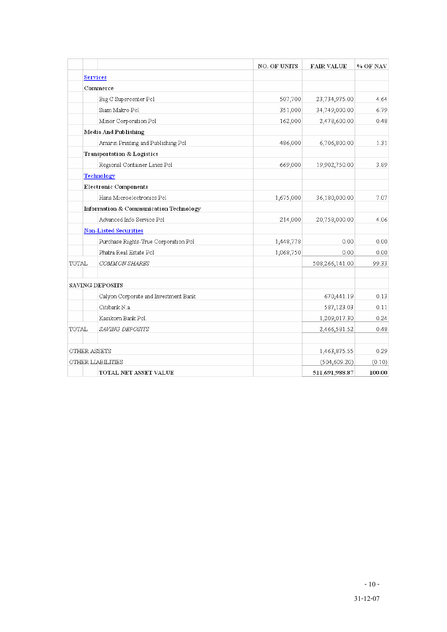|                   |                                        | NO. OF UNITS | <b>FAIR VALUE</b> | % OF NAV |
|-------------------|----------------------------------------|--------------|-------------------|----------|
|                   | <b>Services</b>                        |              |                   |          |
|                   | Commerce                               |              |                   |          |
|                   | Big C Supercenter Pcl                  | 507,700      | 23,734,975.00     | 4.64     |
|                   | Siam Makro Pcl                         | 351,000      | 34,749,000.00     | 6.79     |
|                   | Minor Corporation Pcl                  | 162,000      | 2,478,600.00      | 0.48     |
|                   | Media And Publishing                   |              |                   |          |
|                   | Amarin Printing and Publishing Pel     | 486,000      | 6,706,800.00      | 1.31     |
|                   | <b>Transportation &amp; Logistics</b>  |              |                   |          |
|                   | Regional Container Lines Pcl           | 669,000      | 19,902,750.00     | 3.89     |
|                   | <b>Technology</b>                      |              |                   |          |
|                   | <b>Electronic Components</b>           |              |                   |          |
|                   | Hana Microelectronics Pcl              | 1,675,000    | 36,180,000.00     | 7.07     |
|                   | Information & Communication Technology |              |                   |          |
|                   | Advanced Info Service Pcl              | 214,000      | 20,758,000.00     | 4.06     |
|                   | <b>Non-Listed Securities</b>           |              |                   |          |
|                   | Purchase Rights-True Corporation Pcl   | 1,448,778    | 0.00              | 0.00     |
|                   | Phatra Real Estate Pcl                 | 1,068,750    | 0.00              | 0.00     |
| <b>TOTAL</b>      | COMMON SHARES                          |              | 508,266,141.00    | 99.33    |
|                   | SAVING DEPOSITS                        |              |                   |          |
|                   | Calyon Corporate and Investment Bank   |              | 670,441.19        | 0.13     |
|                   | Citibank N.a.                          |              | 587,123.03        | 0.11     |
|                   | Kasikorn Bank Pcl.                     |              | 1,209,017.30      | 0.24     |
| TOTAL             | SAVING DEPOSITS                        |              | 2,466,581.52      | 0.48     |
| OTHER ASSETS      |                                        |              | 1,463,875.55      | 0.29     |
| OTHER LIABILITIES |                                        |              | (504, 609.20)     | (0.10)   |
|                   | TOTAL NET ASSET VALUE                  |              | 511,691,988.87    | 100.00   |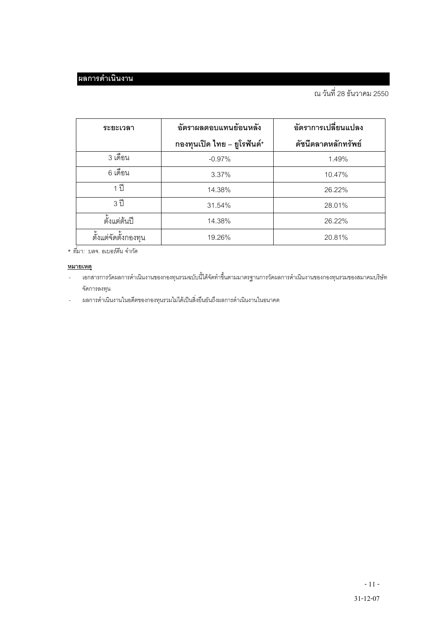| ระยะเวลา             | อัตราผลตอบแทนย้อนหลัง       | อัตราการเปลี่ยนแปลง |  |
|----------------------|-----------------------------|---------------------|--|
|                      | กองทุนเปิด ไทย – ยูโรฟันด์* | ดัชนีตลาดหลักทรัพย์ |  |
| 3 เดือน              | $-0.97%$                    | 1.49%               |  |
| 6 เดือน              | 3.37%                       | 10.47%              |  |
| 1 ปี                 | 14.38%                      | 26.22%              |  |
| 3 ปี                 | 31.54%                      | 28.01%              |  |
| ตั้งแต่ต้นปี         | 14.38%                      | 26.22%              |  |
| ตั้งแต่จัดตั้งกองทุน | 19.26%                      | 20.81%              |  |

\* ที่มา: บลจ. อเบอร์ดีน จำกัด

#### <u>หมายเหตุ</u>

- ——•<br>เอกสารการวัดผลการดำเนินงานของกองทุนรวมฉบับนี้ได้จัดทำขึ้นตามมาตรฐานการวัดผลการดำเนินงานของกองทุนรวมของสมาคมบริษัท  $\mathbb{Z}$ จัดการลงทุน
- ผลการดำเนินงานในอดีตของกองทุนรวมไม่ได้เป็นสิ่งยืนยันถึงผลการดำเนินงานในอนาคต  $\overline{a}$